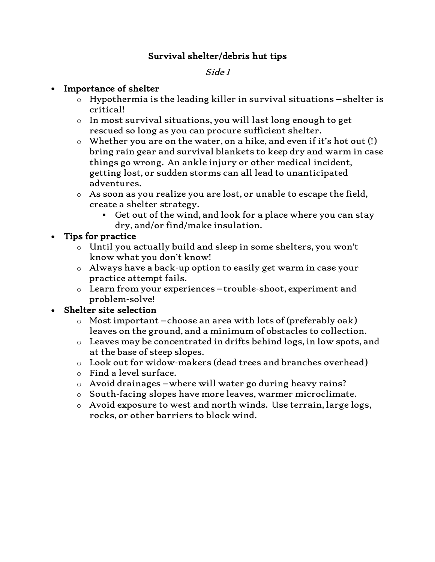## Survival shelter/debris hut tips

#### Side 1

#### • Importance of shelter

- $\circ$  Hypothermia is the leading killer in survival situations –shelter is critical!
- o In most survival situations, you will last long enough to get rescued so long as you can procure sufficient shelter.
- $\circ$  Whether you are on the water, on a hike, and even if it's hot out (!) bring rain gear and survival blankets to keep dry and warm in case things go wrong. An ankle injury or other medical incident, getting lost, or sudden storms can all lead to unanticipated adventures.
- $\circ$  As soon as you realize you are lost, or unable to escape the field, create a shelter strategy.
	- $\blacksquare$  Get out of the wind, and look for a place where you can stay dry, and/or find/make insulation.

#### • Tips for practice

- o Until you actually build and sleep in some shelters, you won't know what you don't know!
- o Always have a back-up option to easily get warm in case your practice attempt fails.
- o Learn from your experiences –trouble-shoot, experiment and problem-solve!

## • Shelter site selection

- $\circ$  Most important choose an area with lots of (preferably oak) leaves on the ground, and a minimum of obstacles to collection.
- o Leaves may be concentrated in drifts behind logs, in low spots, and at the base of steep slopes.
- o Look out for widow-makers (dead trees and branches overhead)
- o Find a level surface.
- o Avoid drainages –where will water go during heavy rains?
- o South-facing slopes have more leaves, warmer microclimate.
- o Avoid exposure to west and north winds. Use terrain, large logs, rocks, or other barriers to block wind.